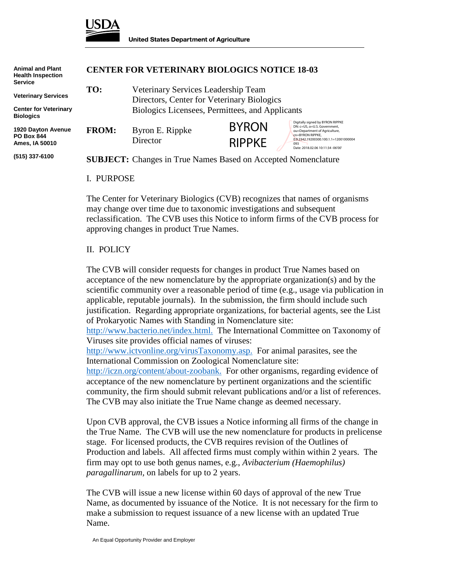

| <b>Animal and Plant</b><br><b>Health Inspection</b><br><b>Service</b> | <b>CENTER FOR VETERINARY BIOLOGICS NOTICE 18-03</b>                                |                                                                                   |                               |                                                                                                                                                                                                            |
|-----------------------------------------------------------------------|------------------------------------------------------------------------------------|-----------------------------------------------------------------------------------|-------------------------------|------------------------------------------------------------------------------------------------------------------------------------------------------------------------------------------------------------|
| <b>Veterinary Services</b>                                            | TO:                                                                                | Veterinary Services Leadership Team<br>Directors, Center for Veterinary Biologics |                               |                                                                                                                                                                                                            |
| <b>Center for Veterinary</b><br><b>Biologics</b>                      | Biologics Licensees, Permittees, and Applicants                                    |                                                                                   |                               |                                                                                                                                                                                                            |
| 1920 Dayton Avenue<br><b>PO Box 844</b><br>Ames, IA 50010             | <b>FROM:</b>                                                                       | Byron E. Rippke<br>Director                                                       | <b>BYRON</b><br><b>RIPPKE</b> | Digitally signed by BYRON RIPPKE<br>DN: c=US, o=U.S. Government,<br>ou=Department of Agriculture,<br>cn=BYRON RIPPKE,<br>0.9.2342.19200300.100.1.1=12001000004<br>093<br>Date: 2018.02.06 10:11:34 -06'00' |
| (515) 337-6100                                                        | <b>SUBJECT:</b> Changes in True Names Based on Accepted Nomenclature<br>L. PURPOSE |                                                                                   |                               |                                                                                                                                                                                                            |
|                                                                       |                                                                                    |                                                                                   |                               |                                                                                                                                                                                                            |

The Center for Veterinary Biologics (CVB) recognizes that names of organisms may change over time due to taxonomic investigations and subsequent reclassification. The CVB uses this Notice to inform firms of the CVB process for approving changes in product True Names.

## II. POLICY

The CVB will consider requests for changes in product True Names based on acceptance of the new nomenclature by the appropriate organization(s) and by the scientific community over a reasonable period of time (e.g., usage via publication in applicable, reputable journals). In the submission, the firm should include such justification. Regarding appropriate organizations, for bacterial agents, see the List of Prokaryotic Names with Standing in Nomenclature site:

[http://www.bacterio.net/index.html.](http://www.bacterio.net/index.html) The International Committee on Taxonomy of Viruses site provides official names of viruses:

[http://www.ictvonline.org/virusTaxonomy.asp.](http://www.ictvonline.org/virusTaxonomy.asp) For animal parasites, see the International Commission on Zoological Nomenclature site:

[http://iczn.org/content/about-zoobank.](http://iczn.org/content/about-zoobank) For other organisms, regarding evidence of acceptance of the new nomenclature by pertinent organizations and the scientific community, the firm should submit relevant publications and/or a list of references. The CVB may also initiate the True Name change as deemed necessary.

Upon CVB approval, the CVB issues a Notice informing all firms of the change in the True Name. The CVB will use the new nomenclature for products in prelicense stage. For licensed products, the CVB requires revision of the Outlines of Production and labels. All affected firms must comply within within 2 years. The firm may opt to use both genus names, e.g., *Avibacterium (Haemophilus) paragallinarum,* on labels for up to 2 years.

The CVB will issue a new license within 60 days of approval of the new True Name, as documented by issuance of the Notice. It is not necessary for the firm to make a submission to request issuance of a new license with an updated True Name.